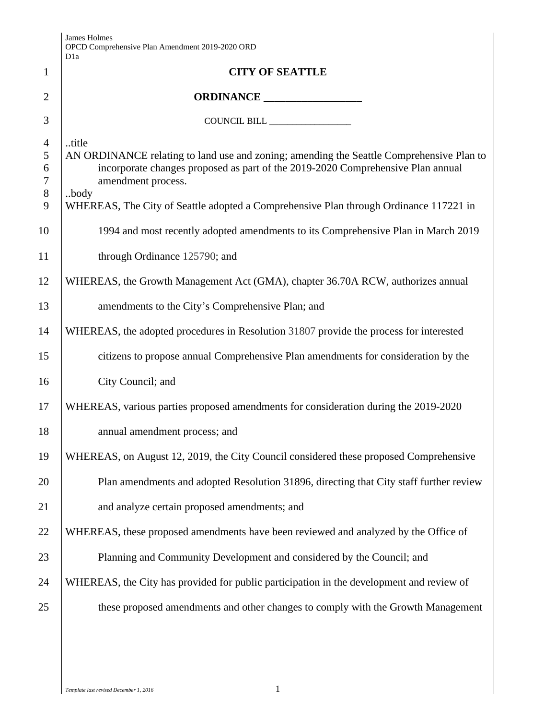|                                                  | James Holmes<br>OPCD Comprehensive Plan Amendment 2019-2020 ORD<br>D <sub>1</sub> a                                                                                                                                                                                                                         |  |  |  |  |
|--------------------------------------------------|-------------------------------------------------------------------------------------------------------------------------------------------------------------------------------------------------------------------------------------------------------------------------------------------------------------|--|--|--|--|
| $\mathbf{1}$                                     | <b>CITY OF SEATTLE</b>                                                                                                                                                                                                                                                                                      |  |  |  |  |
| $\overline{2}$                                   | ORDINANCE                                                                                                                                                                                                                                                                                                   |  |  |  |  |
| 3                                                | COUNCIL BILL _________________                                                                                                                                                                                                                                                                              |  |  |  |  |
| $\overline{4}$<br>5<br>6<br>$\tau$<br>$8\,$<br>9 | title<br>AN ORDINANCE relating to land use and zoning; amending the Seattle Comprehensive Plan to<br>incorporate changes proposed as part of the 2019-2020 Comprehensive Plan annual<br>amendment process.<br>body<br>WHEREAS, The City of Seattle adopted a Comprehensive Plan through Ordinance 117221 in |  |  |  |  |
| 10                                               | 1994 and most recently adopted amendments to its Comprehensive Plan in March 2019                                                                                                                                                                                                                           |  |  |  |  |
| 11                                               | through Ordinance 125790; and                                                                                                                                                                                                                                                                               |  |  |  |  |
| 12                                               | WHEREAS, the Growth Management Act (GMA), chapter 36.70A RCW, authorizes annual                                                                                                                                                                                                                             |  |  |  |  |
| 13                                               | amendments to the City's Comprehensive Plan; and                                                                                                                                                                                                                                                            |  |  |  |  |
| 14                                               | WHEREAS, the adopted procedures in Resolution 31807 provide the process for interested                                                                                                                                                                                                                      |  |  |  |  |
| 15                                               | citizens to propose annual Comprehensive Plan amendments for consideration by the                                                                                                                                                                                                                           |  |  |  |  |
| 16                                               | City Council; and                                                                                                                                                                                                                                                                                           |  |  |  |  |
| 17                                               | WHEREAS, various parties proposed amendments for consideration during the 2019-2020                                                                                                                                                                                                                         |  |  |  |  |
| 18                                               | annual amendment process; and                                                                                                                                                                                                                                                                               |  |  |  |  |
| 19                                               | WHEREAS, on August 12, 2019, the City Council considered these proposed Comprehensive                                                                                                                                                                                                                       |  |  |  |  |
| 20                                               | Plan amendments and adopted Resolution 31896, directing that City staff further review                                                                                                                                                                                                                      |  |  |  |  |
| 21                                               | and analyze certain proposed amendments; and                                                                                                                                                                                                                                                                |  |  |  |  |
| 22                                               | WHEREAS, these proposed amendments have been reviewed and analyzed by the Office of                                                                                                                                                                                                                         |  |  |  |  |
| 23                                               | Planning and Community Development and considered by the Council; and                                                                                                                                                                                                                                       |  |  |  |  |
| 24                                               | WHEREAS, the City has provided for public participation in the development and review of                                                                                                                                                                                                                    |  |  |  |  |
| 25                                               | these proposed amendments and other changes to comply with the Growth Management                                                                                                                                                                                                                            |  |  |  |  |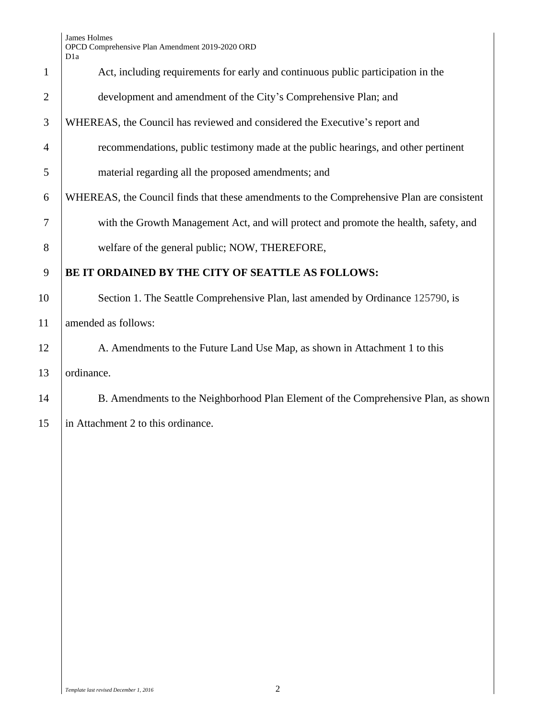|                | Dia                                                                                       |  |  |  |
|----------------|-------------------------------------------------------------------------------------------|--|--|--|
| $\mathbf{1}$   | Act, including requirements for early and continuous public participation in the          |  |  |  |
| $\overline{2}$ | development and amendment of the City's Comprehensive Plan; and                           |  |  |  |
| 3              | WHEREAS, the Council has reviewed and considered the Executive's report and               |  |  |  |
| $\overline{4}$ | recommendations, public testimony made at the public hearings, and other pertinent        |  |  |  |
| 5              | material regarding all the proposed amendments; and                                       |  |  |  |
| 6              | WHEREAS, the Council finds that these amendments to the Comprehensive Plan are consistent |  |  |  |
| $\tau$         | with the Growth Management Act, and will protect and promote the health, safety, and      |  |  |  |
| 8              | welfare of the general public; NOW, THEREFORE,                                            |  |  |  |
| 9              | BE IT ORDAINED BY THE CITY OF SEATTLE AS FOLLOWS:                                         |  |  |  |
| 10             | Section 1. The Seattle Comprehensive Plan, last amended by Ordinance 125790, is           |  |  |  |
| 11             | amended as follows:                                                                       |  |  |  |
| 12             | A. Amendments to the Future Land Use Map, as shown in Attachment 1 to this                |  |  |  |
| 13             | ordinance.                                                                                |  |  |  |
| 14             | B. Amendments to the Neighborhood Plan Element of the Comprehensive Plan, as shown        |  |  |  |
| 15             | in Attachment 2 to this ordinance.                                                        |  |  |  |
|                |                                                                                           |  |  |  |
|                |                                                                                           |  |  |  |
|                |                                                                                           |  |  |  |